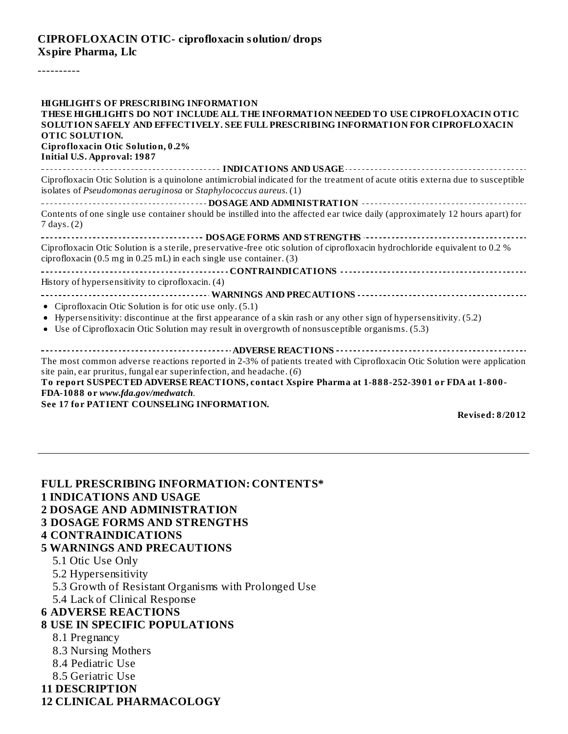## **CIPROFLOXACIN OTIC- ciprofloxacin solution/ drops Xspire Pharma, Llc**

----------

| <b>HIGHLIGHTS OF PRESCRIBING INFORMATION</b>                                                                                                                                                                            |
|-------------------------------------------------------------------------------------------------------------------------------------------------------------------------------------------------------------------------|
| THESE HIGHLIGHTS DO NOT INCLUDE ALL THE INFORMATION NEEDED TO USE CIPROFLOXACIN OTIC                                                                                                                                    |
| SOLUTION SAFELY AND EFFECTIVELY. SEE FULL PRESCRIBING INFORMATION FOR CIPROFLOXACIN                                                                                                                                     |
| <b>OTIC SOLUTION.</b>                                                                                                                                                                                                   |
| Ciprofloxacin Otic Solution, 0.2%                                                                                                                                                                                       |
| <b>Initial U.S. Approval: 1987</b>                                                                                                                                                                                      |
| ------------------------------ INDICATIONS AND USAGE ----------------------------------                                                                                                                                 |
| Ciprofloxacin Otic Solution is a quinolone antimicrobial indicated for the treatment of acute otitis externa due to susceptible<br>isolates of Pseudomonas aeruginosa or Staphylococcus aureus. (1)                     |
|                                                                                                                                                                                                                         |
| Contents of one single use container should be instilled into the affected ear twice daily (approximately 12 hours apart) for<br>7 days. (2)                                                                            |
|                                                                                                                                                                                                                         |
| Ciprofloxacin Otic Solution is a sterile, preservative-free otic solution of ciprofloxacin hydrochloride equivalent to 0.2 %<br>ciprofloxacin (0.5 mg in 0.25 mL) in each single use container. (3)                     |
|                                                                                                                                                                                                                         |
| History of hypersensitivity to ciprofloxacin. (4)                                                                                                                                                                       |
|                                                                                                                                                                                                                         |
| • Ciprofloxacin Otic Solution is for otic use only. (5.1)                                                                                                                                                               |
| • Hypersensitivity: discontinue at the first appearance of a skin rash or any other sign of hypersensitivity. (5.2)<br>• Use of Ciprofloxacin Otic Solution may result in overgrowth of nonsusceptible organisms. (5.3) |
|                                                                                                                                                                                                                         |
|                                                                                                                                                                                                                         |
| The most common adverse reactions reported in 2-3% of patients treated with Ciprofloxacin Otic Solution were application<br>site pain, ear pruritus, fungal ear superinfection, and headache. (6)                       |
| To report SUSPECTED ADVERSE REACTIONS, contact Xspire Pharma at 1-888-252-3901 or FDA at 1-800-                                                                                                                         |
| FDA-1088 or www.fda.gov/medwatch.                                                                                                                                                                                       |
| See 17 for PATIENT COUNSELING INFORMATION.                                                                                                                                                                              |

**Revised: 8/2012**

| <b>FULL PRESCRIBING INFORMATION: CONTENTS*</b><br><b>1 INDICATIONS AND USAGE</b> |  |  |  |  |
|----------------------------------------------------------------------------------|--|--|--|--|
| <b>2 DOSAGE AND ADMINISTRATION</b>                                               |  |  |  |  |
| <b>3 DOSAGE FORMS AND STRENGTHS</b>                                              |  |  |  |  |
| <b>4 CONTRAINDICATIONS</b>                                                       |  |  |  |  |
| <b>5 WARNINGS AND PRECAUTIONS</b>                                                |  |  |  |  |
| 5.1 Otic Use Only                                                                |  |  |  |  |
| 5.2 Hypersensitivity                                                             |  |  |  |  |
| 5.3 Growth of Resistant Organisms with Prolonged Use                             |  |  |  |  |
| 5.4 Lack of Clinical Response                                                    |  |  |  |  |
| <b>6 ADVERSE REACTIONS</b>                                                       |  |  |  |  |
| <b>8 USE IN SPECIFIC POPULATIONS</b>                                             |  |  |  |  |
| 8.1 Pregnancy                                                                    |  |  |  |  |
| 8.3 Nursing Mothers                                                              |  |  |  |  |
| 8.4 Pediatric Use                                                                |  |  |  |  |
| 8.5 Geriatric Use                                                                |  |  |  |  |
| <b>11 DESCRIPTION</b>                                                            |  |  |  |  |
| <b>12 CLINICAL PHARMACOLOGY</b>                                                  |  |  |  |  |
|                                                                                  |  |  |  |  |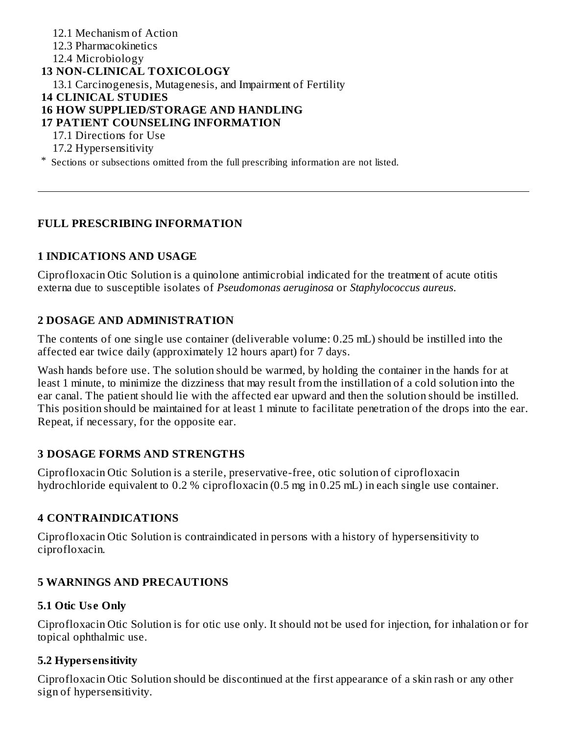12.1 Mechanism of Action 12.3 Pharmacokinetics 12.4 Microbiology **13 NON-CLINICAL TOXICOLOGY** 13.1 Carcinogenesis, Mutagenesis, and Impairment of Fertility **14 CLINICAL STUDIES 16 HOW SUPPLIED/STORAGE AND HANDLING 17 PATIENT COUNSELING INFORMATION** 17.1 Directions for Use 17.2 Hypersensitivity

\* Sections or subsections omitted from the full prescribing information are not listed.

## **FULL PRESCRIBING INFORMATION**

## **1 INDICATIONS AND USAGE**

Ciprofloxacin Otic Solution is a quinolone antimicrobial indicated for the treatment of acute otitis externa due to susceptible isolates of *Pseudomonas aeruginosa* or *Staphylococcus aureus*.

## **2 DOSAGE AND ADMINISTRATION**

The contents of one single use container (deliverable volume: 0.25 mL) should be instilled into the affected ear twice daily (approximately 12 hours apart) for 7 days.

Wash hands before use. The solution should be warmed, by holding the container in the hands for at least 1 minute, to minimize the dizziness that may result from the instillation of a cold solution into the ear canal. The patient should lie with the affected ear upward and then the solution should be instilled. This position should be maintained for at least 1 minute to facilitate penetration of the drops into the ear. Repeat, if necessary, for the opposite ear.

## **3 DOSAGE FORMS AND STRENGTHS**

Ciprofloxacin Otic Solution is a sterile, preservative-free, otic solution of ciprofloxacin hydrochloride equivalent to 0.2 % ciprofloxacin (0.5 mg in 0.25 mL) in each single use container.

## **4 CONTRAINDICATIONS**

Ciprofloxacin Otic Solution is contraindicated in persons with a history of hypersensitivity to ciprofloxacin.

## **5 WARNINGS AND PRECAUTIONS**

## **5.1 Otic Us e Only**

Ciprofloxacin Otic Solution is for otic use only. It should not be used for injection, for inhalation or for topical ophthalmic use.

## **5.2 Hypers ensitivity**

Ciprofloxacin Otic Solution should be discontinued at the first appearance of a skin rash or any other sign of hypersensitivity.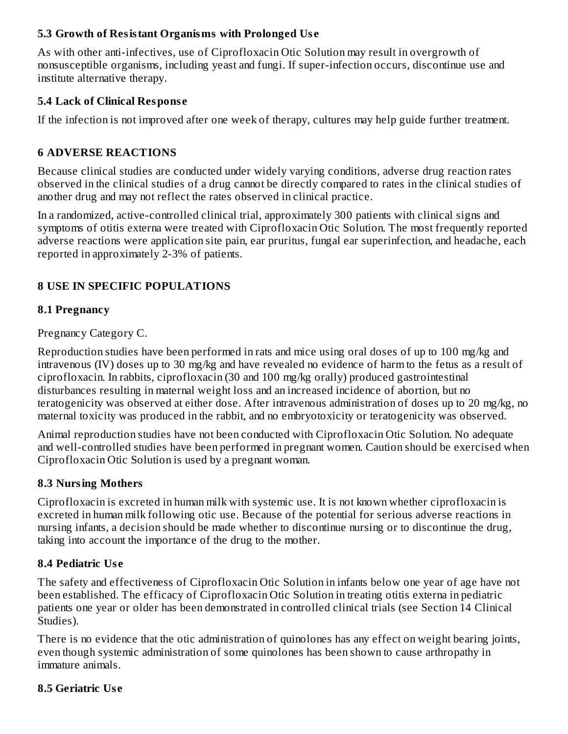## **5.3 Growth of Resistant Organisms with Prolonged Us e**

As with other anti-infectives, use of Ciprofloxacin Otic Solution may result in overgrowth of nonsusceptible organisms, including yeast and fungi. If super-infection occurs, discontinue use and institute alternative therapy.

# **5.4 Lack of Clinical Respons e**

If the infection is not improved after one week of therapy, cultures may help guide further treatment.

# **6 ADVERSE REACTIONS**

Because clinical studies are conducted under widely varying conditions, adverse drug reaction rates observed in the clinical studies of a drug cannot be directly compared to rates in the clinical studies of another drug and may not reflect the rates observed in clinical practice.

In a randomized, active-controlled clinical trial, approximately 300 patients with clinical signs and symptoms of otitis externa were treated with Ciprofloxacin Otic Solution. The most frequently reported adverse reactions were application site pain, ear pruritus, fungal ear superinfection, and headache, each reported in approximately 2-3% of patients.

# **8 USE IN SPECIFIC POPULATIONS**

## **8.1 Pregnancy**

Pregnancy Category C.

Reproduction studies have been performed in rats and mice using oral doses of up to 100 mg/kg and intravenous (IV) doses up to 30 mg/kg and have revealed no evidence of harm to the fetus as a result of ciprofloxacin. In rabbits, ciprofloxacin (30 and 100 mg/kg orally) produced gastrointestinal disturbances resulting in maternal weight loss and an increased incidence of abortion, but no teratogenicity was observed at either dose. After intravenous administration of doses up to 20 mg/kg, no maternal toxicity was produced in the rabbit, and no embryotoxicity or teratogenicity was observed.

Animal reproduction studies have not been conducted with Ciprofloxacin Otic Solution. No adequate and well-controlled studies have been performed in pregnant women. Caution should be exercised when Ciprofloxacin Otic Solution is used by a pregnant woman.

# **8.3 Nursing Mothers**

Ciprofloxacin is excreted in human milk with systemic use. It is not known whether ciprofloxacin is excreted in human milk following otic use. Because of the potential for serious adverse reactions in nursing infants, a decision should be made whether to discontinue nursing or to discontinue the drug, taking into account the importance of the drug to the mother.

## **8.4 Pediatric Us e**

The safety and effectiveness of Ciprofloxacin Otic Solution in infants below one year of age have not been established. The efficacy of Ciprofloxacin Otic Solution in treating otitis externa in pediatric patients one year or older has been demonstrated in controlled clinical trials (see Section 14 Clinical Studies).

There is no evidence that the otic administration of quinolones has any effect on weight bearing joints, even though systemic administration of some quinolones has been shown to cause arthropathy in immature animals.

## **8.5 Geriatric Us e**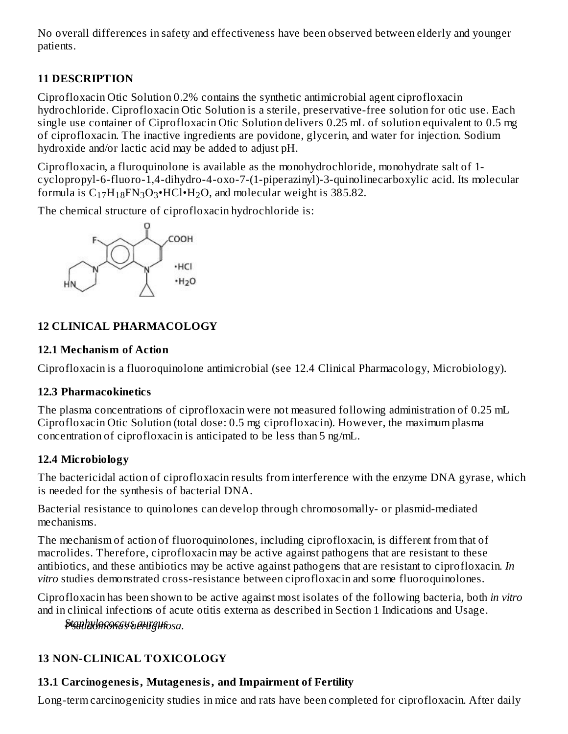No overall differences in safety and effectiveness have been observed between elderly and younger patients.

# **11 DESCRIPTION**

Ciprofloxacin Otic Solution 0.2% contains the synthetic antimicrobial agent ciprofloxacin hydrochloride. Ciprofloxacin Otic Solution is a sterile, preservative-free solution for otic use. Each single use container of Ciprofloxacin Otic Solution delivers 0.25 mL of solution equivalent to 0.5 mg of ciprofloxacin. The inactive ingredients are povidone, glycerin, and water for injection. Sodium hydroxide and/or lactic acid may be added to adjust pH.

Ciprofloxacin, a fluroquinolone is available as the monohydrochloride, monohydrate salt of 1 cyclopropyl-6-fluoro-1,4-dihydro-4-oxo-7-(1-piperazinyl)-3-quinolinecarboxylic acid. Its molecular formula is  $C_{17}H_{18}FN_3O_3 \cdot HCl \cdot H_2O$ , and molecular weight is 385.82.

The chemical structure of ciprofloxacin hydrochloride is:



# **12 CLINICAL PHARMACOLOGY**

# **12.1 Mechanism of Action**

Ciprofloxacin is a fluoroquinolone antimicrobial (see 12.4 Clinical Pharmacology, Microbiology).

# **12.3 Pharmacokinetics**

The plasma concentrations of ciprofloxacin were not measured following administration of 0.25 mL Ciprofloxacin Otic Solution (total dose: 0.5 mg ciprofloxacin). However, the maximum plasma concentration of ciprofloxacin is anticipated to be less than 5 ng/mL.

# **12.4 Microbiology**

The bactericidal action of ciprofloxacin results from interference with the enzyme DNA gyrase, which is needed for the synthesis of bacterial DNA.

Bacterial resistance to quinolones can develop through chromosomally- or plasmid-mediated mechanisms.

The mechanism of action of fluoroquinolones, including ciprofloxacin, is different from that of macrolides. Therefore, ciprofloxacin may be active against pathogens that are resistant to these antibiotics, and these antibiotics may be active against pathogens that are resistant to ciprofloxacin. *In vitro* studies demonstrated cross-resistance between ciprofloxacin and some fluoroquinolones.

Ciprofloxacin has been shown to be active against most isolates of the following bacteria, both *in vitro* and in clinical infections of acute otitis externa as described in Section 1 Indications and Usage.

*SPtsaepuhdyolomcooncacsusaearuurgeiunsosa.*

# **13 NON-CLINICAL TOXICOLOGY**

# **13.1 Carcinogenesis, Mutagenesis, and Impairment of Fertility**

Long-term carcinogenicity studies in mice and rats have been completed for ciprofloxacin. After daily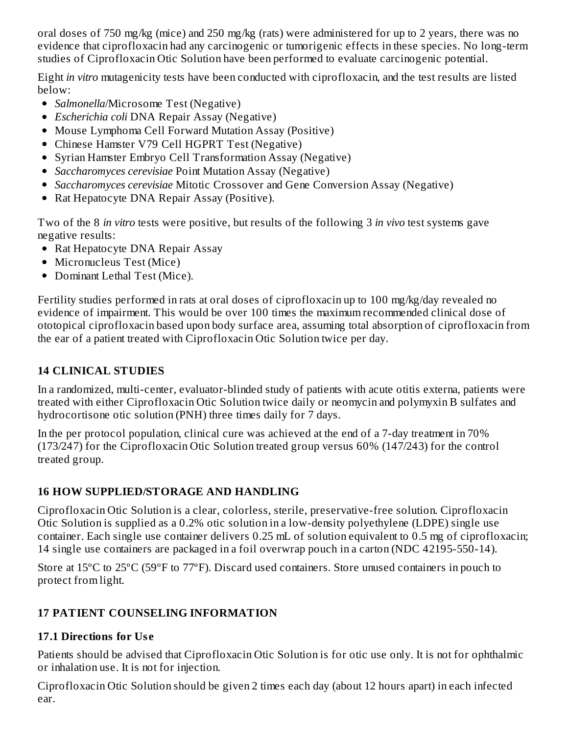oral doses of 750 mg/kg (mice) and 250 mg/kg (rats) were administered for up to 2 years, there was no evidence that ciprofloxacin had any carcinogenic or tumorigenic effects in these species. No long-term studies of Ciprofloxacin Otic Solution have been performed to evaluate carcinogenic potential.

Eight *in vitro* mutagenicity tests have been conducted with ciprofloxacin, and the test results are listed below:

- *Salmonella*/Microsome Test (Negative)
- *Escherichia coli* DNA Repair Assay (Negative)
- Mouse Lymphoma Cell Forward Mutation Assay (Positive)
- Chinese Hamster V79 Cell HGPRT Test (Negative)
- Syrian Hamster Embryo Cell Transformation Assay (Negative)
- *Saccharomyces cerevisiae* Point Mutation Assay (Negative)
- *Saccharomyces cerevisiae* Mitotic Crossover and Gene Conversion Assay (Negative)
- Rat Hepatocyte DNA Repair Assay (Positive).  $\bullet$

Two of the 8 *in vitro* tests were positive, but results of the following 3 *in vivo* test systems gave negative results:

- Rat Hepatocyte DNA Repair Assay
- Micronucleus Test (Mice)
- Dominant Lethal Test (Mice).

Fertility studies performed in rats at oral doses of ciprofloxacin up to 100 mg/kg/day revealed no evidence of impairment. This would be over 100 times the maximum recommended clinical dose of ototopical ciprofloxacin based upon body surface area, assuming total absorption of ciprofloxacin from the ear of a patient treated with Ciprofloxacin Otic Solution twice per day.

# **14 CLINICAL STUDIES**

In a randomized, multi-center, evaluator-blinded study of patients with acute otitis externa, patients were treated with either Ciprofloxacin Otic Solution twice daily or neomycin and polymyxin B sulfates and hydrocortisone otic solution (PNH) three times daily for 7 days.

In the per protocol population, clinical cure was achieved at the end of a 7-day treatment in 70% (173/247) for the Ciprofloxacin Otic Solution treated group versus 60% (147/243) for the control treated group.

# **16 HOW SUPPLIED/STORAGE AND HANDLING**

Ciprofloxacin Otic Solution is a clear, colorless, sterile, preservative-free solution. Ciprofloxacin Otic Solution is supplied as a 0.2% otic solution in a low-density polyethylene (LDPE) single use container. Each single use container delivers 0.25 mL of solution equivalent to 0.5 mg of ciprofloxacin; 14 single use containers are packaged in a foil overwrap pouch in a carton (NDC 42195-550-14).

Store at 15ºC to 25ºC (59ºF to 77ºF). Discard used containers. Store unused containers in pouch to protect from light.

# **17 PATIENT COUNSELING INFORMATION**

# **17.1 Directions for Us e**

Patients should be advised that Ciprofloxacin Otic Solution is for otic use only. It is not for ophthalmic or inhalation use. It is not for injection.

Ciprofloxacin Otic Solution should be given 2 times each day (about 12 hours apart) in each infected ear.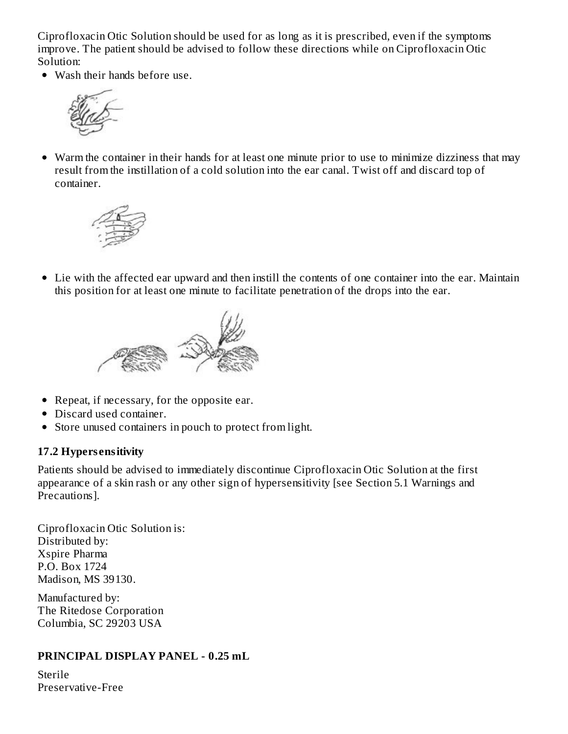Ciprofloxacin Otic Solution should be used for as long as it is prescribed, even if the symptoms improve. The patient should be advised to follow these directions while on Ciprofloxacin Otic Solution:

• Wash their hands before use.



Warm the container in their hands for at least one minute prior to use to minimize dizziness that may result from the instillation of a cold solution into the ear canal. Twist off and discard top of container.



Lie with the affected ear upward and then instill the contents of one container into the ear. Maintain this position for at least one minute to facilitate penetration of the drops into the ear.



- Repeat, if necessary, for the opposite ear.
- Discard used container.
- Store unused containers in pouch to protect from light.

## **17.2 Hypers ensitivity**

Patients should be advised to immediately discontinue Ciprofloxacin Otic Solution at the first appearance of a skin rash or any other sign of hypersensitivity [see Section 5.1 Warnings and Precautions].

Ciprofloxacin Otic Solution is: Distributed by: Xspire Pharma P.O. Box 1724 Madison, MS 39130.

Manufactured by: The Ritedose Corporation Columbia, SC 29203 USA

## **PRINCIPAL DISPLAY PANEL - 0.25 mL**

Sterile Preservative-Free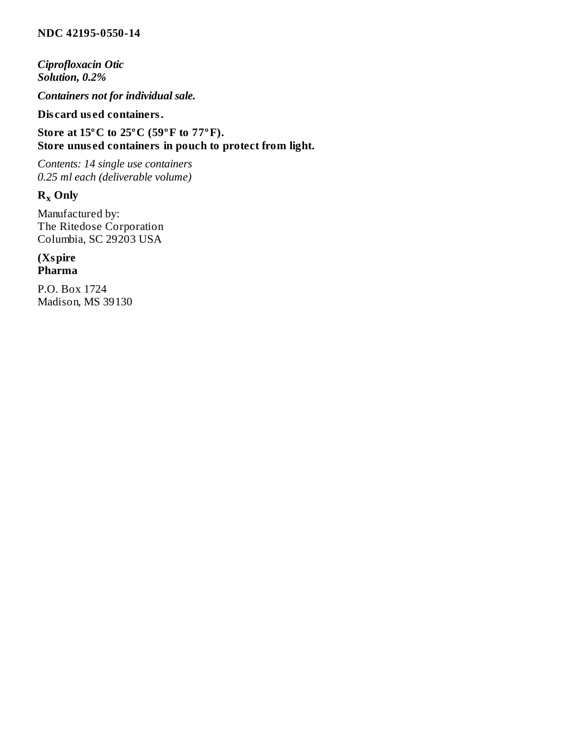#### **NDC 42195-0550-14**

*Ciprofloxacin Otic Solution, 0.2%*

*Containers not for individual sale.*

## **Dis card us ed containers.**

**Store at 15ºC to 25ºC (59ºF to 77ºF). Store unus ed containers in pouch to protect from light.**

*Contents: 14 single use containers 0.25 ml each (deliverable volume)*

# $R_x$  Only

Manufactured by: The Ritedose Corporation Columbia, SC 29203 USA

#### **(Xspire Pharma**

P.O. Box 1724 Madison, MS 39130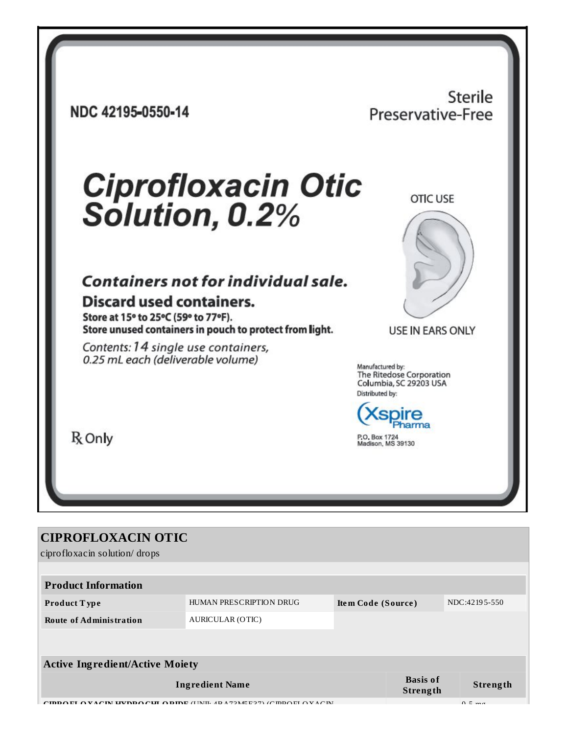NDC 42195-0550-14

# Sterile Preservative-Free

# **Ciprofloxacin Otic** Solution, 0.2%

# Containers not for individual sale.

# **Discard used containers.**

Store at 15° to 25°C (59° to 77°F). Store unused containers in pouch to protect from light.

Contents: 14 single use containers, 0.25 mL each (deliverable volume)

**OTIC USE** 



**USE IN EARS ONLY** 

Manufactured by: The Ritedose Corporation Columbia, SC 29203 USA Distributed by:



R<sub>only</sub>

#### **CIPROFLOXACIN OTIC** ciprofloxacin solution/drops **Product Information** HUMAN PRESCRIPTION DRUG NDC:42195-550 Product Type Item Code (Source) **AURICULAR (OTIC) Route of Administration Active Ingredient/Active Moiety Basis of Ingredient Name** Strength **Strength IDDO EL O VACIN UVDDO CUL O DIDE** (LINIL 4D A 72ME E 27) (CIDDO EL O VACIN  $\sqrt{2}$